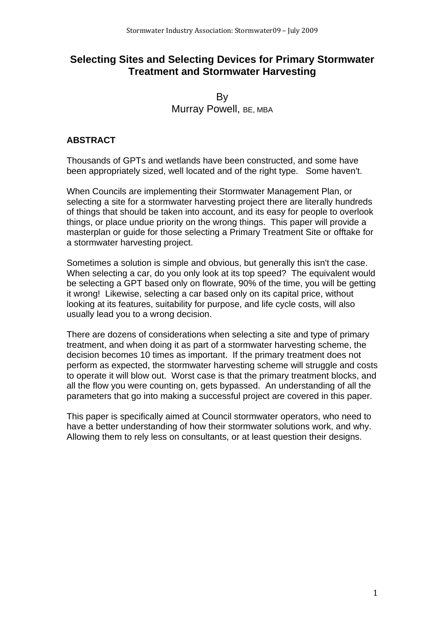# **Selecting Sites and Selecting Devices for Primary Stormwater Treatment and Stormwater Harvesting**

By Murray Powell, BE, MBA

### **ABSTRACT**

Thousands of GPTs and wetlands have been constructed, and some have been appropriately sized, well located and of the right type. Some haven't.

When Councils are implementing their Stormwater Management Plan, or selecting a site for a stormwater harvesting project there are literally hundreds of things that should be taken into account, and its easy for people to overlook things, or place undue priority on the wrong things. This paper will provide a masterplan or guide for those selecting a Primary Treatment Site or offtake for a stormwater harvesting project.

Sometimes a solution is simple and obvious, but generally this isn't the case. When selecting a car, do you only look at its top speed? The equivalent would be selecting a GPT based only on flowrate, 90% of the time, you will be getting it wrong! Likewise, selecting a car based only on its capital price, without looking at its features, suitability for purpose, and life cycle costs, will also usually lead you to a wrong decision.

There are dozens of considerations when selecting a site and type of primary treatment, and when doing it as part of a stormwater harvesting scheme, the decision becomes 10 times as important. If the primary treatment does not perform as expected, the stormwater harvesting scheme will struggle and costs to operate it will blow out. Worst case is that the primary treatment blocks, and all the flow you were counting on, gets bypassed. An understanding of all the parameters that go into making a successful project are covered in this paper.

This paper is specifically aimed at Council stormwater operators, who need to have a better understanding of how their stormwater solutions work, and why. Allowing them to rely less on consultants, or at least question their designs.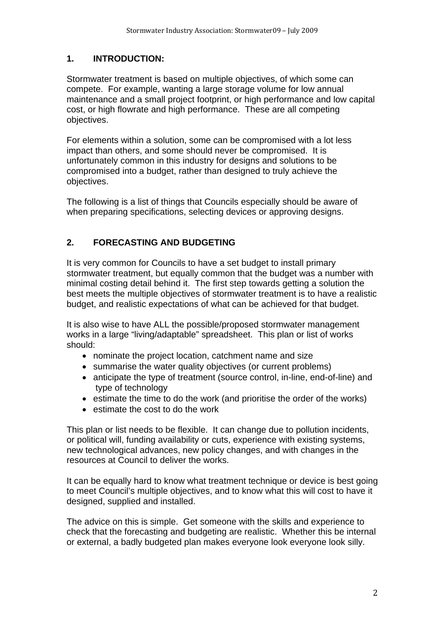# **1. INTRODUCTION:**

Stormwater treatment is based on multiple objectives, of which some can compete. For example, wanting a large storage volume for low annual maintenance and a small project footprint, or high performance and low capital cost, or high flowrate and high performance. These are all competing objectives.

For elements within a solution, some can be compromised with a lot less impact than others, and some should never be compromised. It is unfortunately common in this industry for designs and solutions to be compromised into a budget, rather than designed to truly achieve the objectives.

The following is a list of things that Councils especially should be aware of when preparing specifications, selecting devices or approving designs.

# **2. FORECASTING AND BUDGETING**

It is very common for Councils to have a set budget to install primary stormwater treatment, but equally common that the budget was a number with minimal costing detail behind it. The first step towards getting a solution the best meets the multiple objectives of stormwater treatment is to have a realistic budget, and realistic expectations of what can be achieved for that budget.

It is also wise to have ALL the possible/proposed stormwater management works in a large "living/adaptable" spreadsheet. This plan or list of works should:

- nominate the project location, catchment name and size
- summarise the water quality objectives (or current problems)
- anticipate the type of treatment (source control, in-line, end-of-line) and type of technology
- estimate the time to do the work (and prioritise the order of the works)
- estimate the cost to do the work

This plan or list needs to be flexible. It can change due to pollution incidents, or political will, funding availability or cuts, experience with existing systems, new technological advances, new policy changes, and with changes in the resources at Council to deliver the works.

It can be equally hard to know what treatment technique or device is best going to meet Council's multiple objectives, and to know what this will cost to have it designed, supplied and installed.

The advice on this is simple. Get someone with the skills and experience to check that the forecasting and budgeting are realistic. Whether this be internal or external, a badly budgeted plan makes everyone look everyone look silly.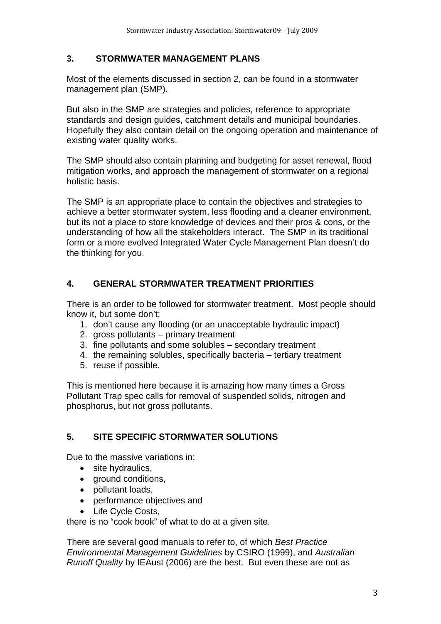### **3. STORMWATER MANAGEMENT PLANS**

Most of the elements discussed in section 2, can be found in a stormwater management plan (SMP).

But also in the SMP are strategies and policies, reference to appropriate standards and design guides, catchment details and municipal boundaries. Hopefully they also contain detail on the ongoing operation and maintenance of existing water quality works.

The SMP should also contain planning and budgeting for asset renewal, flood mitigation works, and approach the management of stormwater on a regional holistic basis.

The SMP is an appropriate place to contain the objectives and strategies to achieve a better stormwater system, less flooding and a cleaner environment, but its not a place to store knowledge of devices and their pros & cons, or the understanding of how all the stakeholders interact. The SMP in its traditional form or a more evolved Integrated Water Cycle Management Plan doesn't do the thinking for you.

### **4. GENERAL STORMWATER TREATMENT PRIORITIES**

There is an order to be followed for stormwater treatment. Most people should know it, but some don't:

- 1. don't cause any flooding (or an unacceptable hydraulic impact)
- 2. gross pollutants primary treatment
- 3. fine pollutants and some solubles secondary treatment
- 4. the remaining solubles, specifically bacteria tertiary treatment
- 5. reuse if possible.

This is mentioned here because it is amazing how many times a Gross Pollutant Trap spec calls for removal of suspended solids, nitrogen and phosphorus, but not gross pollutants.

# **5. SITE SPECIFIC STORMWATER SOLUTIONS**

Due to the massive variations in:

- site hydraulics,
- ground conditions,
- pollutant loads,
- performance objectives and
- Life Cycle Costs,

there is no "cook book" of what to do at a given site.

There are several good manuals to refer to, of which *Best Practice Environmental Management Guidelines* by CSIRO (1999), and *Australian Runoff Quality* by IEAust (2006) are the best. But even these are not as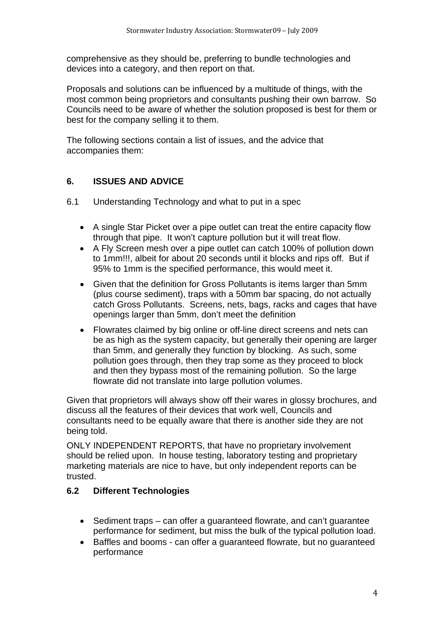comprehensive as they should be, preferring to bundle technologies and devices into a category, and then report on that.

Proposals and solutions can be influenced by a multitude of things, with the most common being proprietors and consultants pushing their own barrow. So Councils need to be aware of whether the solution proposed is best for them or best for the company selling it to them.

The following sections contain a list of issues, and the advice that accompanies them:

### **6. ISSUES AND ADVICE**

- 6.1 Understanding Technology and what to put in a spec
	- A single Star Picket over a pipe outlet can treat the entire capacity flow through that pipe. It won't capture pollution but it will treat flow.
	- A Fly Screen mesh over a pipe outlet can catch 100% of pollution down to 1mm!!!, albeit for about 20 seconds until it blocks and rips off. But if 95% to 1mm is the specified performance, this would meet it.
	- Given that the definition for Gross Pollutants is items larger than 5mm (plus course sediment), traps with a 50mm bar spacing, do not actually catch Gross Pollutants. Screens, nets, bags, racks and cages that have openings larger than 5mm, don't meet the definition
	- Flowrates claimed by big online or off-line direct screens and nets can be as high as the system capacity, but generally their opening are larger than 5mm, and generally they function by blocking. As such, some pollution goes through, then they trap some as they proceed to block and then they bypass most of the remaining pollution. So the large flowrate did not translate into large pollution volumes.

Given that proprietors will always show off their wares in glossy brochures, and discuss all the features of their devices that work well, Councils and consultants need to be equally aware that there is another side they are not being told.

ONLY INDEPENDENT REPORTS, that have no proprietary involvement should be relied upon. In house testing, laboratory testing and proprietary marketing materials are nice to have, but only independent reports can be trusted.

#### **6.2 Different Technologies**

- Sediment traps can offer a guaranteed flowrate, and can't guarantee performance for sediment, but miss the bulk of the typical pollution load.
- Baffles and booms can offer a guaranteed flowrate, but no guaranteed performance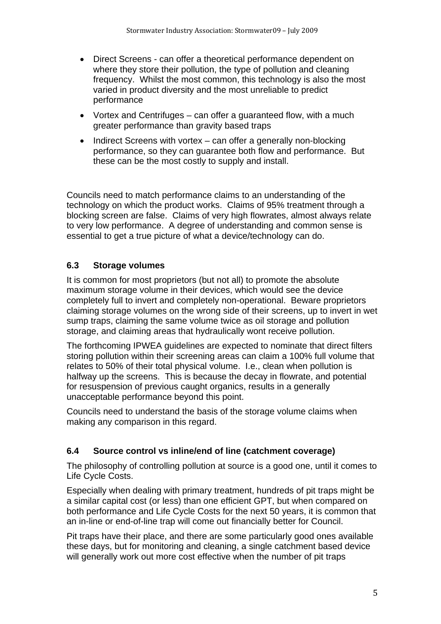- Direct Screens can offer a theoretical performance dependent on where they store their pollution, the type of pollution and cleaning frequency. Whilst the most common, this technology is also the most varied in product diversity and the most unreliable to predict performance
- Vortex and Centrifuges can offer a guaranteed flow, with a much greater performance than gravity based traps
- $\bullet$  Indirect Screens with vortex can offer a generally non-blocking performance, so they can guarantee both flow and performance. But these can be the most costly to supply and install.

Councils need to match performance claims to an understanding of the technology on which the product works. Claims of 95% treatment through a blocking screen are false. Claims of very high flowrates, almost always relate to very low performance. A degree of understanding and common sense is essential to get a true picture of what a device/technology can do.

# **6.3 Storage volumes**

It is common for most proprietors (but not all) to promote the absolute maximum storage volume in their devices, which would see the device completely full to invert and completely non-operational. Beware proprietors claiming storage volumes on the wrong side of their screens, up to invert in wet sump traps, claiming the same volume twice as oil storage and pollution storage, and claiming areas that hydraulically wont receive pollution.

The forthcoming IPWEA guidelines are expected to nominate that direct filters storing pollution within their screening areas can claim a 100% full volume that relates to 50% of their total physical volume. I.e., clean when pollution is halfway up the screens. This is because the decay in flowrate, and potential for resuspension of previous caught organics, results in a generally unacceptable performance beyond this point.

Councils need to understand the basis of the storage volume claims when making any comparison in this regard.

# **6.4 Source control vs inline/end of line (catchment coverage)**

The philosophy of controlling pollution at source is a good one, until it comes to Life Cycle Costs.

Especially when dealing with primary treatment, hundreds of pit traps might be a similar capital cost (or less) than one efficient GPT, but when compared on both performance and Life Cycle Costs for the next 50 years, it is common that an in-line or end-of-line trap will come out financially better for Council.

Pit traps have their place, and there are some particularly good ones available these days, but for monitoring and cleaning, a single catchment based device will generally work out more cost effective when the number of pit traps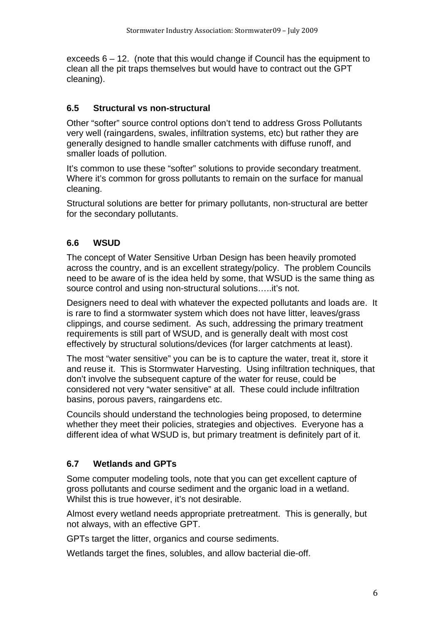exceeds 6 – 12. (note that this would change if Council has the equipment to clean all the pit traps themselves but would have to contract out the GPT cleaning).

### **6.5 Structural vs non-structural**

Other "softer" source control options don't tend to address Gross Pollutants very well (raingardens, swales, infiltration systems, etc) but rather they are generally designed to handle smaller catchments with diffuse runoff, and smaller loads of pollution.

It's common to use these "softer" solutions to provide secondary treatment. Where it's common for gross pollutants to remain on the surface for manual cleaning.

Structural solutions are better for primary pollutants, non-structural are better for the secondary pollutants.

### **6.6 WSUD**

The concept of Water Sensitive Urban Design has been heavily promoted across the country, and is an excellent strategy/policy. The problem Councils need to be aware of is the idea held by some, that WSUD is the same thing as source control and using non-structural solutions…..it's not.

Designers need to deal with whatever the expected pollutants and loads are. It is rare to find a stormwater system which does not have litter, leaves/grass clippings, and course sediment. As such, addressing the primary treatment requirements is still part of WSUD, and is generally dealt with most cost effectively by structural solutions/devices (for larger catchments at least).

The most "water sensitive" you can be is to capture the water, treat it, store it and reuse it. This is Stormwater Harvesting. Using infiltration techniques, that don't involve the subsequent capture of the water for reuse, could be considered not very "water sensitive" at all. These could include infiltration basins, porous pavers, raingardens etc.

Councils should understand the technologies being proposed, to determine whether they meet their policies, strategies and objectives. Everyone has a different idea of what WSUD is, but primary treatment is definitely part of it.

# **6.7 Wetlands and GPTs**

Some computer modeling tools, note that you can get excellent capture of gross pollutants and course sediment and the organic load in a wetland. Whilst this is true however, it's not desirable.

Almost every wetland needs appropriate pretreatment. This is generally, but not always, with an effective GPT.

GPTs target the litter, organics and course sediments.

Wetlands target the fines, solubles, and allow bacterial die-off.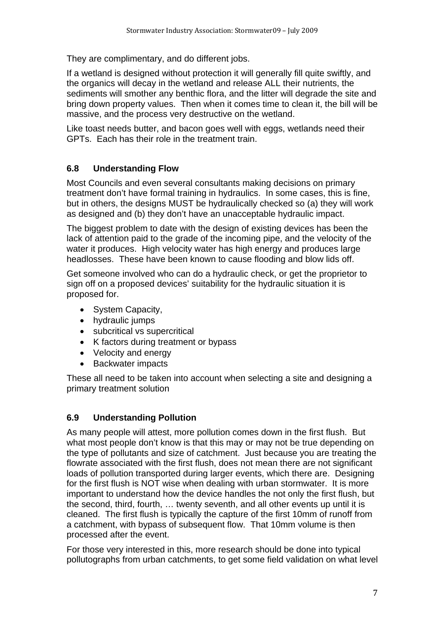They are complimentary, and do different jobs.

If a wetland is designed without protection it will generally fill quite swiftly, and the organics will decay in the wetland and release ALL their nutrients, the sediments will smother any benthic flora, and the litter will degrade the site and bring down property values. Then when it comes time to clean it, the bill will be massive, and the process very destructive on the wetland.

Like toast needs butter, and bacon goes well with eggs, wetlands need their GPTs. Each has their role in the treatment train.

### **6.8 Understanding Flow**

Most Councils and even several consultants making decisions on primary treatment don't have formal training in hydraulics. In some cases, this is fine, but in others, the designs MUST be hydraulically checked so (a) they will work as designed and (b) they don't have an unacceptable hydraulic impact.

The biggest problem to date with the design of existing devices has been the lack of attention paid to the grade of the incoming pipe, and the velocity of the water it produces. High velocity water has high energy and produces large headlosses. These have been known to cause flooding and blow lids off.

Get someone involved who can do a hydraulic check, or get the proprietor to sign off on a proposed devices' suitability for the hydraulic situation it is proposed for.

- System Capacity,
- hydraulic jumps
- subcritical vs supercritical
- K factors during treatment or bypass
- Velocity and energy
- Backwater impacts

These all need to be taken into account when selecting a site and designing a primary treatment solution

# **6.9 Understanding Pollution**

As many people will attest, more pollution comes down in the first flush. But what most people don't know is that this may or may not be true depending on the type of pollutants and size of catchment. Just because you are treating the flowrate associated with the first flush, does not mean there are not significant loads of pollution transported during larger events, which there are. Designing for the first flush is NOT wise when dealing with urban stormwater. It is more important to understand how the device handles the not only the first flush, but the second, third, fourth, … twenty seventh, and all other events up until it is cleaned. The first flush is typically the capture of the first 10mm of runoff from a catchment, with bypass of subsequent flow. That 10mm volume is then processed after the event.

For those very interested in this, more research should be done into typical pollutographs from urban catchments, to get some field validation on what level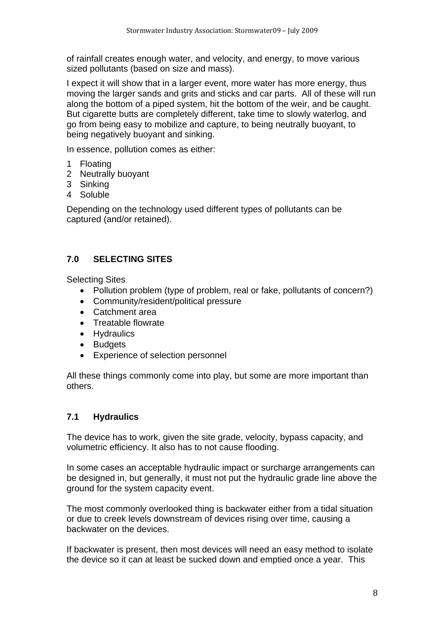of rainfall creates enough water, and velocity, and energy, to move various sized pollutants (based on size and mass).

I expect it will show that in a larger event, more water has more energy, thus moving the larger sands and grits and sticks and car parts. All of these will run along the bottom of a piped system, hit the bottom of the weir, and be caught. But cigarette butts are completely different, take time to slowly waterlog, and go from being easy to mobilize and capture, to being neutrally buoyant, to being negatively buoyant and sinking.

In essence, pollution comes as either:

- 1 Floating
- 2 Neutrally buoyant
- 3 Sinking
- 4 Soluble

Depending on the technology used different types of pollutants can be captured (and/or retained).

# **7.0 SELECTING SITES**

Selecting Sites

- Pollution problem (type of problem, real or fake, pollutants of concern?)
- Community/resident/political pressure
- Catchment area
- Treatable flowrate
- Hydraulics
- Budgets
- Experience of selection personnel

All these things commonly come into play, but some are more important than others.

### **7.1 Hydraulics**

The device has to work, given the site grade, velocity, bypass capacity, and volumetric efficiency. It also has to not cause flooding.

In some cases an acceptable hydraulic impact or surcharge arrangements can be designed in, but generally, it must not put the hydraulic grade line above the ground for the system capacity event.

The most commonly overlooked thing is backwater either from a tidal situation or due to creek levels downstream of devices rising over time, causing a backwater on the devices.

If backwater is present, then most devices will need an easy method to isolate the device so it can at least be sucked down and emptied once a year. This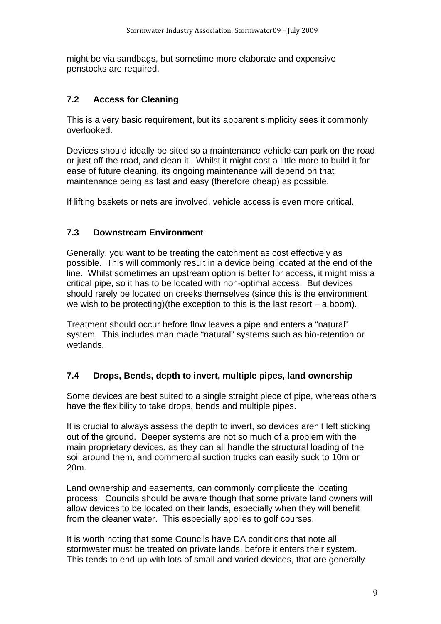might be via sandbags, but sometime more elaborate and expensive penstocks are required.

### **7.2 Access for Cleaning**

This is a very basic requirement, but its apparent simplicity sees it commonly overlooked.

Devices should ideally be sited so a maintenance vehicle can park on the road or just off the road, and clean it. Whilst it might cost a little more to build it for ease of future cleaning, its ongoing maintenance will depend on that maintenance being as fast and easy (therefore cheap) as possible.

If lifting baskets or nets are involved, vehicle access is even more critical.

#### **7.3 Downstream Environment**

Generally, you want to be treating the catchment as cost effectively as possible. This will commonly result in a device being located at the end of the line. Whilst sometimes an upstream option is better for access, it might miss a critical pipe, so it has to be located with non-optimal access. But devices should rarely be located on creeks themselves (since this is the environment we wish to be protecting)(the exception to this is the last resort  $-$  a boom).

Treatment should occur before flow leaves a pipe and enters a "natural" system. This includes man made "natural" systems such as bio-retention or wetlands.

#### **7.4 Drops, Bends, depth to invert, multiple pipes, land ownership**

Some devices are best suited to a single straight piece of pipe, whereas others have the flexibility to take drops, bends and multiple pipes.

It is crucial to always assess the depth to invert, so devices aren't left sticking out of the ground. Deeper systems are not so much of a problem with the main proprietary devices, as they can all handle the structural loading of the soil around them, and commercial suction trucks can easily suck to 10m or 20m.

Land ownership and easements, can commonly complicate the locating process. Councils should be aware though that some private land owners will allow devices to be located on their lands, especially when they will benefit from the cleaner water. This especially applies to golf courses.

It is worth noting that some Councils have DA conditions that note all stormwater must be treated on private lands, before it enters their system. This tends to end up with lots of small and varied devices, that are generally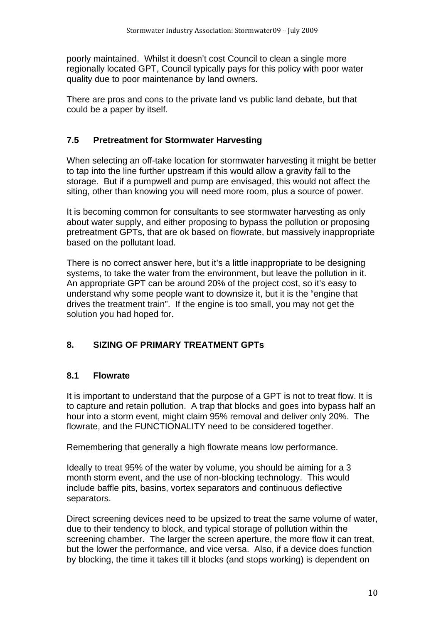poorly maintained. Whilst it doesn't cost Council to clean a single more regionally located GPT, Council typically pays for this policy with poor water quality due to poor maintenance by land owners.

There are pros and cons to the private land vs public land debate, but that could be a paper by itself.

### **7.5 Pretreatment for Stormwater Harvesting**

When selecting an off-take location for stormwater harvesting it might be better to tap into the line further upstream if this would allow a gravity fall to the storage. But if a pumpwell and pump are envisaged, this would not affect the siting, other than knowing you will need more room, plus a source of power.

It is becoming common for consultants to see stormwater harvesting as only about water supply, and either proposing to bypass the pollution or proposing pretreatment GPTs, that are ok based on flowrate, but massively inappropriate based on the pollutant load.

There is no correct answer here, but it's a little inappropriate to be designing systems, to take the water from the environment, but leave the pollution in it. An appropriate GPT can be around 20% of the project cost, so it's easy to understand why some people want to downsize it, but it is the "engine that drives the treatment train". If the engine is too small, you may not get the solution you had hoped for.

# **8. SIZING OF PRIMARY TREATMENT GPTs**

### **8.1 Flowrate**

It is important to understand that the purpose of a GPT is not to treat flow. It is to capture and retain pollution. A trap that blocks and goes into bypass half an hour into a storm event, might claim 95% removal and deliver only 20%. The flowrate, and the FUNCTIONALITY need to be considered together.

Remembering that generally a high flowrate means low performance.

Ideally to treat 95% of the water by volume, you should be aiming for a 3 month storm event, and the use of non-blocking technology. This would include baffle pits, basins, vortex separators and continuous deflective separators.

Direct screening devices need to be upsized to treat the same volume of water, due to their tendency to block, and typical storage of pollution within the screening chamber. The larger the screen aperture, the more flow it can treat, but the lower the performance, and vice versa. Also, if a device does function by blocking, the time it takes till it blocks (and stops working) is dependent on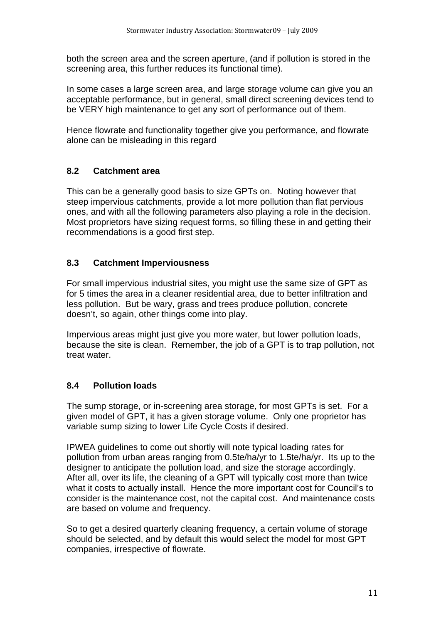both the screen area and the screen aperture, (and if pollution is stored in the screening area, this further reduces its functional time).

In some cases a large screen area, and large storage volume can give you an acceptable performance, but in general, small direct screening devices tend to be VERY high maintenance to get any sort of performance out of them.

Hence flowrate and functionality together give you performance, and flowrate alone can be misleading in this regard

### **8.2 Catchment area**

This can be a generally good basis to size GPTs on. Noting however that steep impervious catchments, provide a lot more pollution than flat pervious ones, and with all the following parameters also playing a role in the decision. Most proprietors have sizing request forms, so filling these in and getting their recommendations is a good first step.

### **8.3 Catchment Imperviousness**

For small impervious industrial sites, you might use the same size of GPT as for 5 times the area in a cleaner residential area, due to better infiltration and less pollution. But be wary, grass and trees produce pollution, concrete doesn't, so again, other things come into play.

Impervious areas might just give you more water, but lower pollution loads, because the site is clean. Remember, the job of a GPT is to trap pollution, not treat water.

# **8.4 Pollution loads**

The sump storage, or in-screening area storage, for most GPTs is set. For a given model of GPT, it has a given storage volume. Only one proprietor has variable sump sizing to lower Life Cycle Costs if desired.

IPWEA guidelines to come out shortly will note typical loading rates for pollution from urban areas ranging from 0.5te/ha/yr to 1.5te/ha/yr. Its up to the designer to anticipate the pollution load, and size the storage accordingly. After all, over its life, the cleaning of a GPT will typically cost more than twice what it costs to actually install. Hence the more important cost for Council's to consider is the maintenance cost, not the capital cost. And maintenance costs are based on volume and frequency.

So to get a desired quarterly cleaning frequency, a certain volume of storage should be selected, and by default this would select the model for most GPT companies, irrespective of flowrate.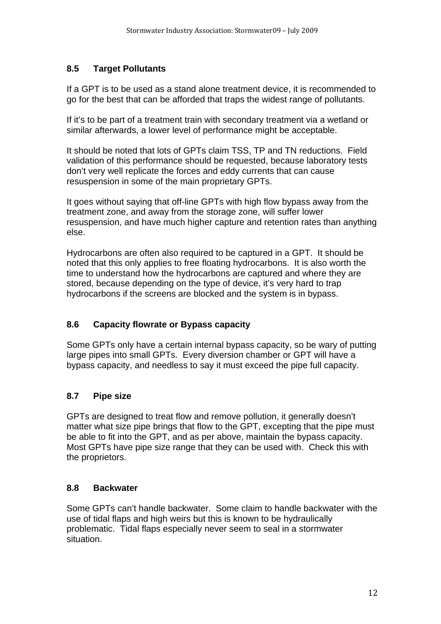### **8.5 Target Pollutants**

If a GPT is to be used as a stand alone treatment device, it is recommended to go for the best that can be afforded that traps the widest range of pollutants.

If it's to be part of a treatment train with secondary treatment via a wetland or similar afterwards, a lower level of performance might be acceptable.

It should be noted that lots of GPTs claim TSS, TP and TN reductions. Field validation of this performance should be requested, because laboratory tests don't very well replicate the forces and eddy currents that can cause resuspension in some of the main proprietary GPTs.

It goes without saying that off-line GPTs with high flow bypass away from the treatment zone, and away from the storage zone, will suffer lower resuspension, and have much higher capture and retention rates than anything else.

Hydrocarbons are often also required to be captured in a GPT. It should be noted that this only applies to free floating hydrocarbons. It is also worth the time to understand how the hydrocarbons are captured and where they are stored, because depending on the type of device, it's very hard to trap hydrocarbons if the screens are blocked and the system is in bypass.

# **8.6 Capacity flowrate or Bypass capacity**

Some GPTs only have a certain internal bypass capacity, so be wary of putting large pipes into small GPTs. Every diversion chamber or GPT will have a bypass capacity, and needless to say it must exceed the pipe full capacity.

# **8.7 Pipe size**

GPTs are designed to treat flow and remove pollution, it generally doesn't matter what size pipe brings that flow to the GPT, excepting that the pipe must be able to fit into the GPT, and as per above, maintain the bypass capacity. Most GPTs have pipe size range that they can be used with. Check this with the proprietors.

# **8.8 Backwater**

Some GPTs can't handle backwater. Some claim to handle backwater with the use of tidal flaps and high weirs but this is known to be hydraulically problematic. Tidal flaps especially never seem to seal in a stormwater situation.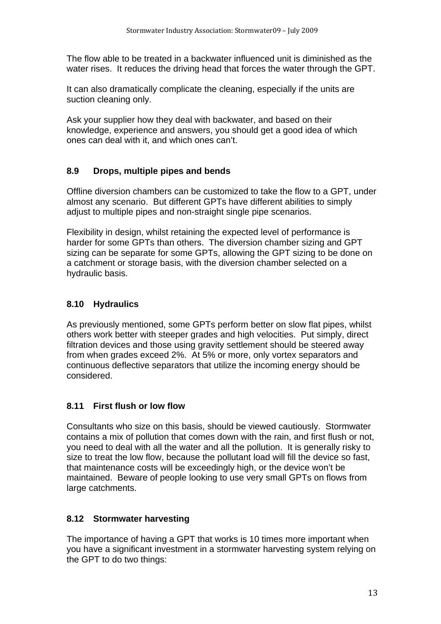The flow able to be treated in a backwater influenced unit is diminished as the water rises. It reduces the driving head that forces the water through the GPT.

It can also dramatically complicate the cleaning, especially if the units are suction cleaning only.

Ask your supplier how they deal with backwater, and based on their knowledge, experience and answers, you should get a good idea of which ones can deal with it, and which ones can't.

# **8.9 Drops, multiple pipes and bends**

Offline diversion chambers can be customized to take the flow to a GPT, under almost any scenario. But different GPTs have different abilities to simply adjust to multiple pipes and non-straight single pipe scenarios.

Flexibility in design, whilst retaining the expected level of performance is harder for some GPTs than others. The diversion chamber sizing and GPT sizing can be separate for some GPTs, allowing the GPT sizing to be done on a catchment or storage basis, with the diversion chamber selected on a hydraulic basis.

# **8.10 Hydraulics**

As previously mentioned, some GPTs perform better on slow flat pipes, whilst others work better with steeper grades and high velocities. Put simply, direct filtration devices and those using gravity settlement should be steered away from when grades exceed 2%. At 5% or more, only vortex separators and continuous deflective separators that utilize the incoming energy should be considered.

# **8.11 First flush or low flow**

Consultants who size on this basis, should be viewed cautiously. Stormwater contains a mix of pollution that comes down with the rain, and first flush or not, you need to deal with all the water and all the pollution. It is generally risky to size to treat the low flow, because the pollutant load will fill the device so fast, that maintenance costs will be exceedingly high, or the device won't be maintained. Beware of people looking to use very small GPTs on flows from large catchments.

# **8.12 Stormwater harvesting**

The importance of having a GPT that works is 10 times more important when you have a significant investment in a stormwater harvesting system relying on the GPT to do two things: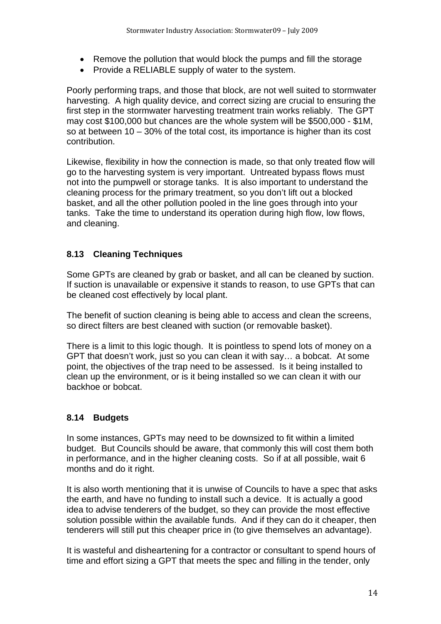- Remove the pollution that would block the pumps and fill the storage
- Provide a RELIABLE supply of water to the system.

Poorly performing traps, and those that block, are not well suited to stormwater harvesting. A high quality device, and correct sizing are crucial to ensuring the first step in the stormwater harvesting treatment train works reliably. The GPT may cost \$100,000 but chances are the whole system will be \$500,000 - \$1M, so at between 10 – 30% of the total cost, its importance is higher than its cost contribution.

Likewise, flexibility in how the connection is made, so that only treated flow will go to the harvesting system is very important. Untreated bypass flows must not into the pumpwell or storage tanks. It is also important to understand the cleaning process for the primary treatment, so you don't lift out a blocked basket, and all the other pollution pooled in the line goes through into your tanks. Take the time to understand its operation during high flow, low flows, and cleaning.

# **8.13 Cleaning Techniques**

Some GPTs are cleaned by grab or basket, and all can be cleaned by suction. If suction is unavailable or expensive it stands to reason, to use GPTs that can be cleaned cost effectively by local plant.

The benefit of suction cleaning is being able to access and clean the screens, so direct filters are best cleaned with suction (or removable basket).

There is a limit to this logic though. It is pointless to spend lots of money on a GPT that doesn't work, just so you can clean it with say… a bobcat. At some point, the objectives of the trap need to be assessed. Is it being installed to clean up the environment, or is it being installed so we can clean it with our backhoe or bobcat.

### **8.14 Budgets**

In some instances, GPTs may need to be downsized to fit within a limited budget. But Councils should be aware, that commonly this will cost them both in performance, and in the higher cleaning costs. So if at all possible, wait 6 months and do it right.

It is also worth mentioning that it is unwise of Councils to have a spec that asks the earth, and have no funding to install such a device. It is actually a good idea to advise tenderers of the budget, so they can provide the most effective solution possible within the available funds. And if they can do it cheaper, then tenderers will still put this cheaper price in (to give themselves an advantage).

It is wasteful and disheartening for a contractor or consultant to spend hours of time and effort sizing a GPT that meets the spec and filling in the tender, only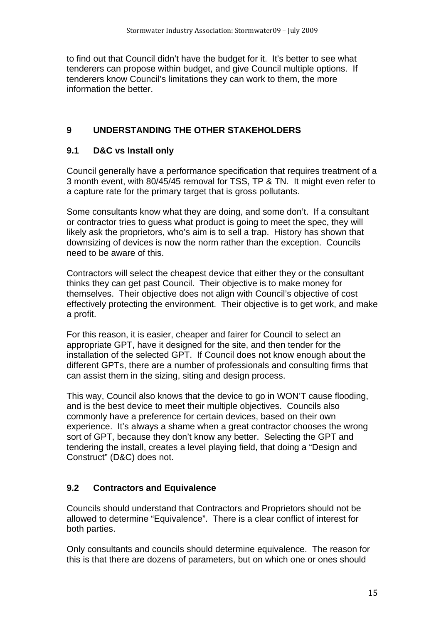to find out that Council didn't have the budget for it. It's better to see what tenderers can propose within budget, and give Council multiple options. If tenderers know Council's limitations they can work to them, the more information the better.

### **9 UNDERSTANDING THE OTHER STAKEHOLDERS**

### **9.1 D&C vs Install only**

Council generally have a performance specification that requires treatment of a 3 month event, with 80/45/45 removal for TSS, TP & TN. It might even refer to a capture rate for the primary target that is gross pollutants.

Some consultants know what they are doing, and some don't. If a consultant or contractor tries to guess what product is going to meet the spec, they will likely ask the proprietors, who's aim is to sell a trap. History has shown that downsizing of devices is now the norm rather than the exception. Councils need to be aware of this.

Contractors will select the cheapest device that either they or the consultant thinks they can get past Council. Their objective is to make money for themselves. Their objective does not align with Council's objective of cost effectively protecting the environment. Their objective is to get work, and make a profit.

For this reason, it is easier, cheaper and fairer for Council to select an appropriate GPT, have it designed for the site, and then tender for the installation of the selected GPT. If Council does not know enough about the different GPTs, there are a number of professionals and consulting firms that can assist them in the sizing, siting and design process.

This way, Council also knows that the device to go in WON'T cause flooding, and is the best device to meet their multiple objectives. Councils also commonly have a preference for certain devices, based on their own experience. It's always a shame when a great contractor chooses the wrong sort of GPT, because they don't know any better. Selecting the GPT and tendering the install, creates a level playing field, that doing a "Design and Construct" (D&C) does not.

# **9.2 Contractors and Equivalence**

Councils should understand that Contractors and Proprietors should not be allowed to determine "Equivalence". There is a clear conflict of interest for both parties.

Only consultants and councils should determine equivalence. The reason for this is that there are dozens of parameters, but on which one or ones should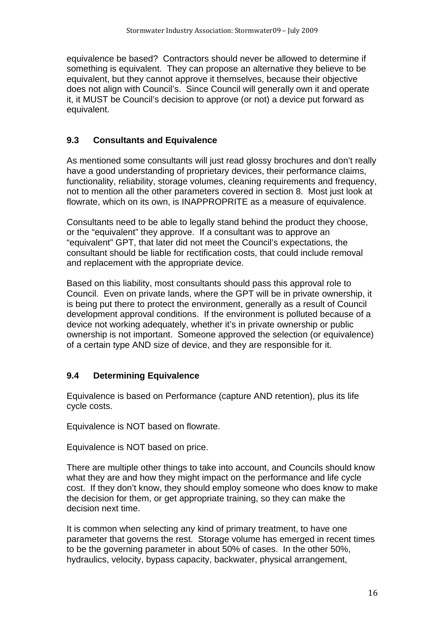equivalence be based? Contractors should never be allowed to determine if something is equivalent. They can propose an alternative they believe to be equivalent, but they cannot approve it themselves, because their objective does not align with Council's. Since Council will generally own it and operate it, it MUST be Council's decision to approve (or not) a device put forward as equivalent.

# **9.3 Consultants and Equivalence**

As mentioned some consultants will just read glossy brochures and don't really have a good understanding of proprietary devices, their performance claims, functionality, reliability, storage volumes, cleaning requirements and frequency, not to mention all the other parameters covered in section 8. Most just look at flowrate, which on its own, is INAPPROPRITE as a measure of equivalence.

Consultants need to be able to legally stand behind the product they choose, or the "equivalent" they approve. If a consultant was to approve an "equivalent" GPT, that later did not meet the Council's expectations, the consultant should be liable for rectification costs, that could include removal and replacement with the appropriate device.

Based on this liability, most consultants should pass this approval role to Council. Even on private lands, where the GPT will be in private ownership, it is being put there to protect the environment, generally as a result of Council development approval conditions. If the environment is polluted because of a device not working adequately, whether it's in private ownership or public ownership is not important. Someone approved the selection (or equivalence) of a certain type AND size of device, and they are responsible for it.

# **9.4 Determining Equivalence**

Equivalence is based on Performance (capture AND retention), plus its life cycle costs.

Equivalence is NOT based on flowrate.

Equivalence is NOT based on price.

There are multiple other things to take into account, and Councils should know what they are and how they might impact on the performance and life cycle cost. If they don't know, they should employ someone who does know to make the decision for them, or get appropriate training, so they can make the decision next time.

It is common when selecting any kind of primary treatment, to have one parameter that governs the rest. Storage volume has emerged in recent times to be the governing parameter in about 50% of cases. In the other 50%, hydraulics, velocity, bypass capacity, backwater, physical arrangement,